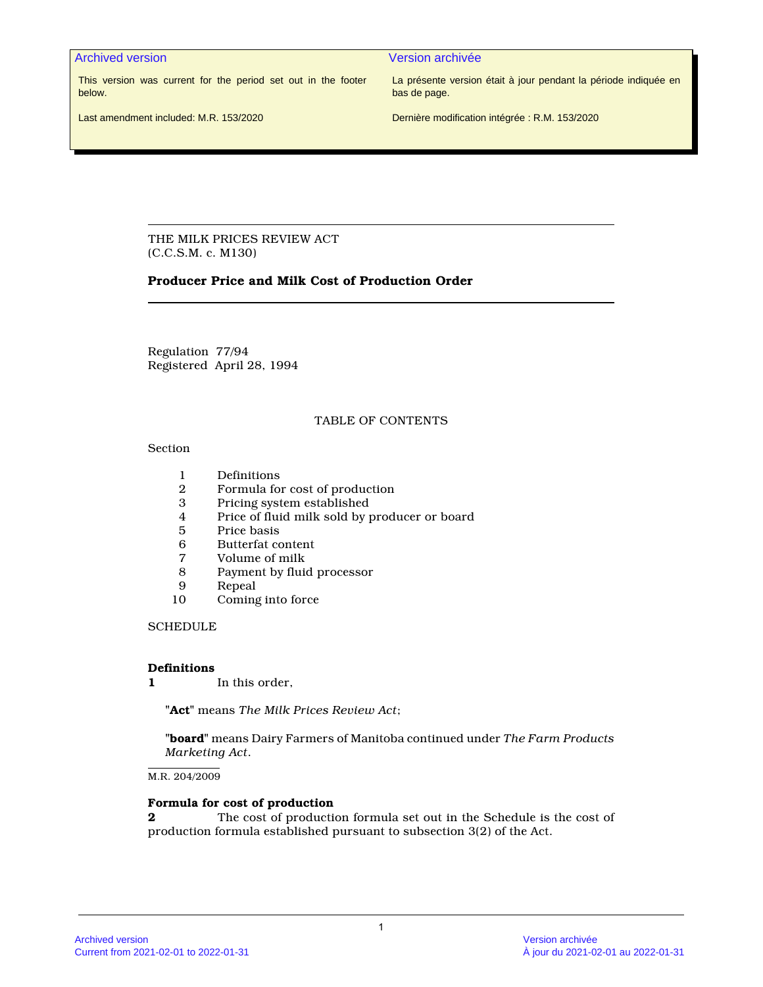Archived version and version archivée and version archivée

This version was current for the period set out in the footer below.

La présente version était à jour pendant la période indiquée en bas de page.

Last amendment included: M.R. 153/2020

Dernière modification intégrée : R.M. 153/2020

THE MILK PRICES REVIEW ACT (C.C.S.M. c. M130)

# **Producer Price and Milk Cost of Production Order**

Regulation 77/94 Registered April 28, 1994

## TABLE OF CONTENTS

### Section

- 
- 1 Definitions<br>2 Formula for 2 Formula for cost of production
- 3 Pricing system established
- 4 Price of fluid milk sold by producer or board
- 5 Price basis<br>6 Butterfat co
- 6 Butterfat content<br>7 Volume of milk
- 7 Volume of milk
- 8 Payment by fluid processor
- 9 Repeal<br>10 Coming
- Coming into force

**SCHEDULE** 

## **Definitions**

**1** In this order,

**"Act"** means *The Milk Prices Review Act*;

**"board"** means Dairy Farmers of Manitoba continued under *The Farm Products Marketing Act*.

M.R. 204/2009

## **Formula for cost of production**

**2** The cost of production formula set out in the Schedule is the cost of production formula established pursuant to subsection 3(2) of the Act.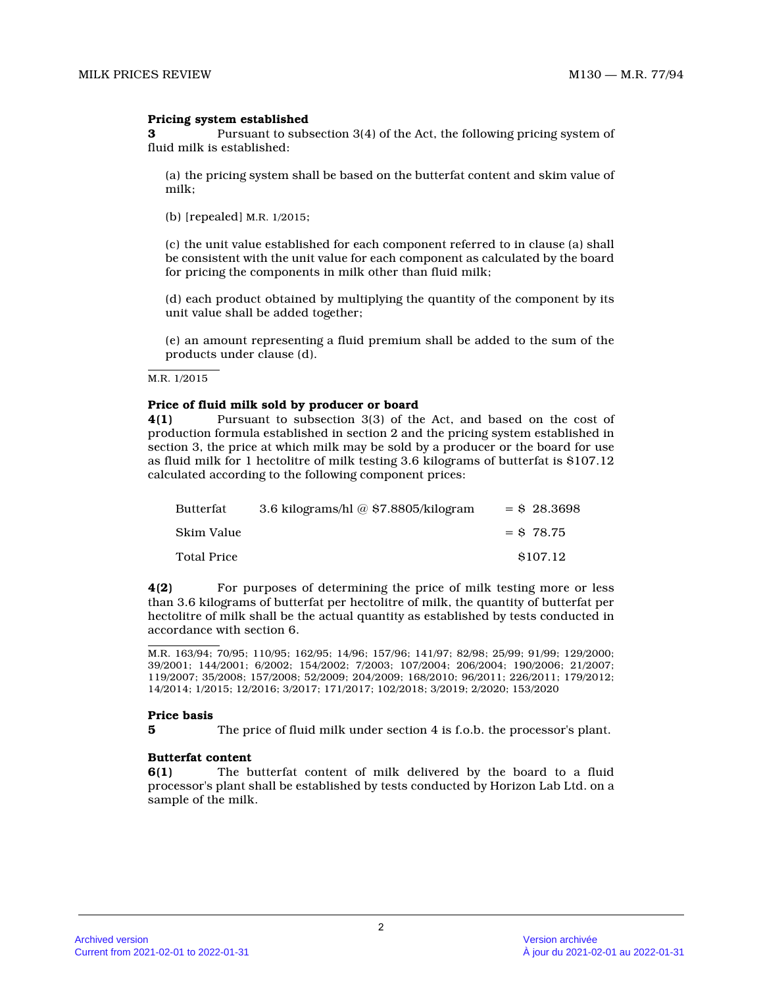## **Pricing system established**

**3** Pursuant to subsection 3(4) of the Act, the following pricing system of fluid milk is established:

(a) the pricing system shall be based on the butterfat content and skim value of milk;

(b) [repealed] M.R. 1/2015 ;

(c) the unit value established for each component referred to in clause (a) shall be consistent with the unit value for each component as calculated by the board for pricing the components in milk other than fluid milk;

(d) each product obtained by multiplying the quantity of the component by its unit value shall be added together;

(e) an amount representing a fluid premium shall be added to the sum of the products under clause (d).

M.R. 1/2015

#### **Price of fluid milk sold by producer or board**

**4(1)** Pursuant to subsection 3(3) of the Act, and based on the cost of production formula established in section 2 and the pricing system established in section 3, the price at which milk may be sold by a producer or the board for use as fluid milk for 1 hectolitre of milk testing 3.6 kilograms of butterfat is \$107.12 calculated according to the following component prices:

| Butterfat          | 3.6 kilograms/hl $@$ \$7.8805/kilogram | $=$ \$ 28.3698 |
|--------------------|----------------------------------------|----------------|
| Skim Value         |                                        | $=$ \$78.75    |
| <b>Total Price</b> |                                        | \$107.12       |

**4(2)** For purposes of determining the price of milk testing more or less than 3.6 kilograms of butterfat per hectolitre of milk, the quantity of butterfat per hectolitre of milk shall be the actual quantity as established by tests conducted in accordance with section 6.

#### **Price basis**

**5** The price of fluid milk under section 4 is f.o.b. the processor's plant.

#### **Butterfat content**

**6(1)** The butterfat content of milk delivered by the board to a fluid processor's plant shall be established by tests conducted by Horizon Lab Ltd. on a sample of the milk.

M.R. 163/94; 70/95; 110/95; 162/95; 14/96; 157/96; 141/97; 82/98; 25/99; 91/99; 129/2000; 39/2001; 144/2001; 6/2002; 154/2002; 7/2003; 107/2004; 206/2004; 190/2006; 21/2007; 119/2007; 35/2008; 157/2008; 52/2009; 204/2009; 168/2010; 96/2011; 226/2011; 179/2012; 14/2014; 1/2015; 12/2016; 3/2017; 171/2017; 102/2018; 3/2019; 2/2020; 153/2020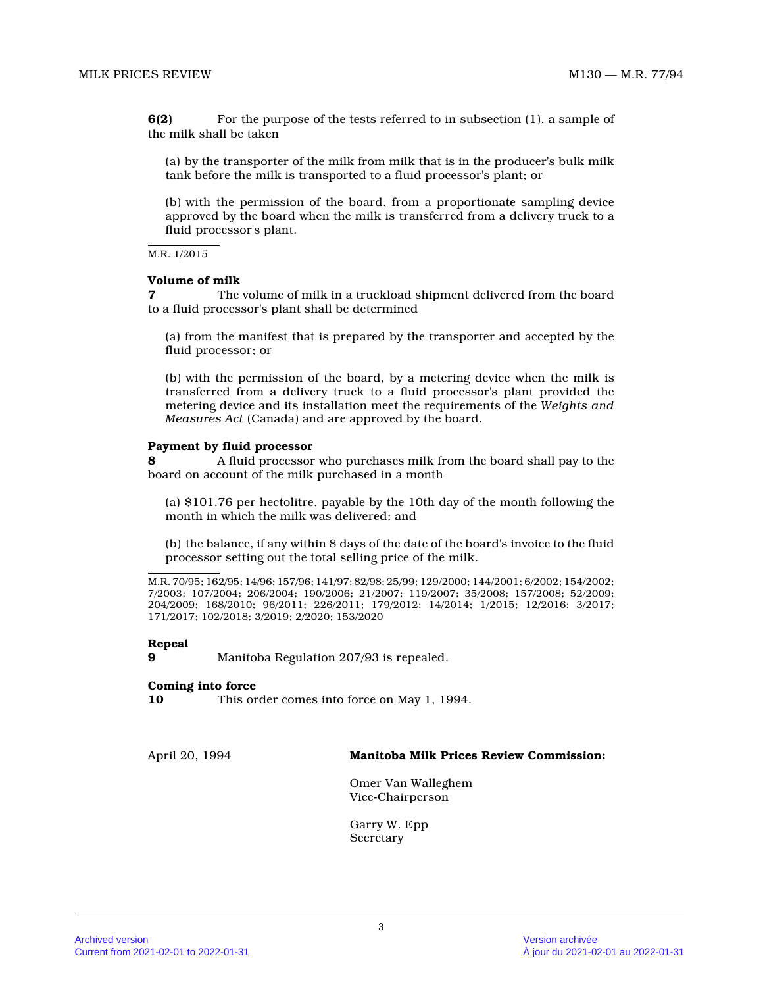**6(2)** For the purpose of the tests referred to in subsection (1), a sample of the milk shall be taken

(a) by the transporter of the milk from milk that is in the producer's bulk milk tank before the milk is transported to a fluid processor's plant; or

(b) with the permission of the board, from a proportionate sampling device approved by the board when the milk is transferred from a delivery truck to a fluid processor's plant.

M.R. 1/2015

## **Volume of milk**

**7** The volume of milk in a truckload shipment delivered from the board to a fluid processor's plant shall be determined

(a) from the manifest that is prepared by the transporter and accepted by the fluid processor; or

(b) with the permission of the board, by a metering device when the milk is transferred from a delivery truck to a fluid processor's plant provided the metering device and its installation meet the requirements of the *Weights and Measures Act* (Canada) and are approved by the board.

### **Payment by fluid processor**

**8** A fluid processor who purchases milk from the board shall pay to the board on account of the milk purchased in a month

(a) \$101.76 per hectolitre, payable by the 10th day of the month following the month in which the milk was delivered; and

(b) the balance, if any within 8 days of the date of the board's invoice to the fluid processor setting out the total selling price of the milk.

M.R. 70/95; 162/95; 14/96; 157/96; 141/97; 82/98; 25/99; 129/2000; 144/2001; 6/2002; 154/2002; 7/2003; 107/2004; 206/2004; 190/2006; 21/2007; 119/2007; 35/2008; 157/2008; 52/2009; 204/2009; 168/2010; 96/2011; 226/2011; 179/2012; 14/2014; 1/2015; 12/2016; 3/2017; 171/2017; 102/2018; 3/2019; 2/2020; 153/2020

### **Repeal**

**9** Manitoba Regulation 207/93 is repealed.

#### **Coming into force**

**10** This order comes into force on May 1, 1994.

April 20, 1994 **Manitoba Milk Prices Review Commission:**

Omer Van Walleghem Vice-Chairperson

Garry W. Epp Secretary